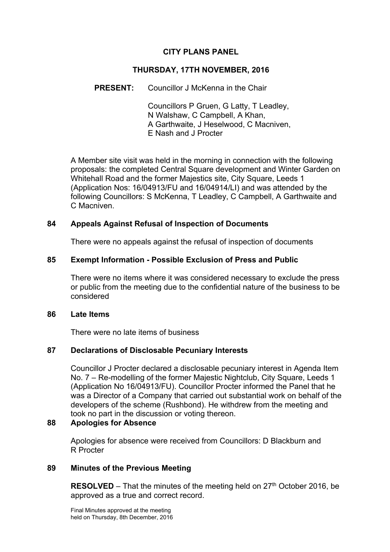## **CITY PLANS PANEL**

#### **THURSDAY, 17TH NOVEMBER, 2016**

### **PRESENT:** Councillor J McKenna in the Chair

Councillors P Gruen, G Latty, T Leadley, N Walshaw, C Campbell, A Khan, A Garthwaite, J Heselwood, C Macniven, E Nash and J Procter

A Member site visit was held in the morning in connection with the following proposals: the completed Central Square development and Winter Garden on Whitehall Road and the former Majestics site, City Square, Leeds 1 (Application Nos: 16/04913/FU and 16/04914/LI) and was attended by the following Councillors: S McKenna, T Leadley, C Campbell, A Garthwaite and C Macniven.

#### **84 Appeals Against Refusal of Inspection of Documents**

There were no appeals against the refusal of inspection of documents

#### **85 Exempt Information - Possible Exclusion of Press and Public**

There were no items where it was considered necessary to exclude the press or public from the meeting due to the confidential nature of the business to be considered

#### **86 Late Items**

There were no late items of business

#### **87 Declarations of Disclosable Pecuniary Interests**

Councillor J Procter declared a disclosable pecuniary interest in Agenda Item No. 7 – Re-modelling of the former Majestic Nightclub, City Square, Leeds 1 (Application No 16/04913/FU). Councillor Procter informed the Panel that he was a Director of a Company that carried out substantial work on behalf of the developers of the scheme (Rushbond). He withdrew from the meeting and took no part in the discussion or voting thereon.

### **88 Apologies for Absence**

Apologies for absence were received from Councillors: D Blackburn and R Procter

#### **89 Minutes of the Previous Meeting**

**RESOLVED** – That the minutes of the meeting held on  $27<sup>th</sup>$  October 2016, be approved as a true and correct record.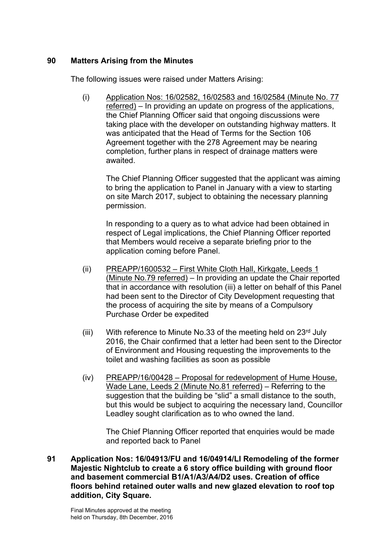### **90 Matters Arising from the Minutes**

The following issues were raised under Matters Arising:

(i) Application Nos: 16/02582, 16/02583 and 16/02584 (Minute No. 77 referred) – In providing an update on progress of the applications, the Chief Planning Officer said that ongoing discussions were taking place with the developer on outstanding highway matters. It was anticipated that the Head of Terms for the Section 106 Agreement together with the 278 Agreement may be nearing completion, further plans in respect of drainage matters were awaited.

The Chief Planning Officer suggested that the applicant was aiming to bring the application to Panel in January with a view to starting on site March 2017, subject to obtaining the necessary planning permission.

In responding to a query as to what advice had been obtained in respect of Legal implications, the Chief Planning Officer reported that Members would receive a separate briefing prior to the application coming before Panel.

- (ii) PREAPP/1600532 First White Cloth Hall, Kirkgate, Leeds 1 (Minute No.79 referred) – In providing an update the Chair reported that in accordance with resolution (iii) a letter on behalf of this Panel had been sent to the Director of City Development requesting that the process of acquiring the site by means of a Compulsory Purchase Order be expedited
- (iii) With reference to Minute No.33 of the meeting held on  $23<sup>rd</sup>$  July 2016, the Chair confirmed that a letter had been sent to the Director of Environment and Housing requesting the improvements to the toilet and washing facilities as soon as possible
- (iv) PREAPP/16/00428 Proposal for redevelopment of Hume House, Wade Lane, Leeds 2 (Minute No.81 referred) – Referring to the suggestion that the building be "slid" a small distance to the south, but this would be subject to acquiring the necessary land, Councillor Leadley sought clarification as to who owned the land.

The Chief Planning Officer reported that enquiries would be made and reported back to Panel

**91 Application Nos: 16/04913/FU and 16/04914/LI Remodeling of the former Majestic Nightclub to create a 6 story office building with ground floor and basement commercial B1/A1/A3/A4/D2 uses. Creation of office floors behind retained outer walls and new glazed elevation to roof top addition, City Square.**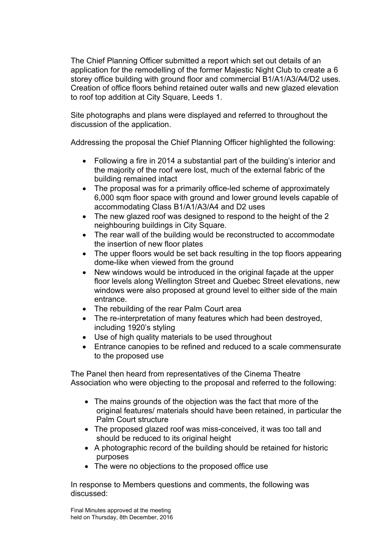The Chief Planning Officer submitted a report which set out details of an application for the remodelling of the former Majestic Night Club to create a 6 storey office building with ground floor and commercial B1/A1/A3/A4/D2 uses. Creation of office floors behind retained outer walls and new glazed elevation to roof top addition at City Square, Leeds 1.

Site photographs and plans were displayed and referred to throughout the discussion of the application.

Addressing the proposal the Chief Planning Officer highlighted the following:

- Following a fire in 2014 a substantial part of the building's interior and the majority of the roof were lost, much of the external fabric of the building remained intact
- The proposal was for a primarily office-led scheme of approximately 6,000 sqm floor space with ground and lower ground levels capable of accommodating Class B1/A1/A3/A4 and D2 uses
- The new glazed roof was designed to respond to the height of the 2 neighbouring buildings in City Square.
- The rear wall of the building would be reconstructed to accommodate the insertion of new floor plates
- The upper floors would be set back resulting in the top floors appearing dome-like when viewed from the ground
- New windows would be introduced in the original facade at the upper floor levels along Wellington Street and Quebec Street elevations, new windows were also proposed at ground level to either side of the main entrance.
- The rebuilding of the rear Palm Court area
- The re-interpretation of many features which had been destroyed, including 1920's styling
- Use of high quality materials to be used throughout
- Entrance canopies to be refined and reduced to a scale commensurate to the proposed use

The Panel then heard from representatives of the Cinema Theatre Association who were objecting to the proposal and referred to the following:

- The mains grounds of the objection was the fact that more of the original features/ materials should have been retained, in particular the Palm Court structure
- The proposed glazed roof was miss-conceived, it was too tall and should be reduced to its original height
- A photographic record of the building should be retained for historic purposes
- The were no objections to the proposed office use

In response to Members questions and comments, the following was discussed: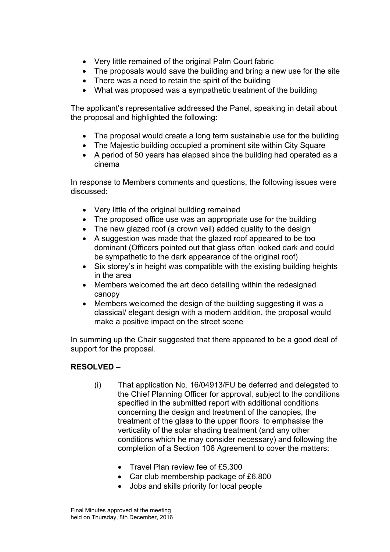- Very little remained of the original Palm Court fabric
- The proposals would save the building and bring a new use for the site
- There was a need to retain the spirit of the building
- What was proposed was a sympathetic treatment of the building

The applicant's representative addressed the Panel, speaking in detail about the proposal and highlighted the following:

- The proposal would create a long term sustainable use for the building
- The Majestic building occupied a prominent site within City Square
- A period of 50 years has elapsed since the building had operated as a cinema

In response to Members comments and questions, the following issues were discussed:

- Very little of the original building remained
- The proposed office use was an appropriate use for the building
- The new glazed roof (a crown veil) added quality to the design
- A suggestion was made that the glazed roof appeared to be too dominant (Officers pointed out that glass often looked dark and could be sympathetic to the dark appearance of the original roof)
- Six storey's in height was compatible with the existing building heights in the area
- Members welcomed the art deco detailing within the redesigned canopy
- Members welcomed the design of the building suggesting it was a classical/ elegant design with a modern addition, the proposal would make a positive impact on the street scene

In summing up the Chair suggested that there appeared to be a good deal of support for the proposal.

# **RESOLVED –**

- (i) That application No. 16/04913/FU be deferred and delegated to the Chief Planning Officer for approval, subject to the conditions specified in the submitted report with additional conditions concerning the design and treatment of the canopies, the treatment of the glass to the upper floors to emphasise the verticality of the solar shading treatment (and any other conditions which he may consider necessary) and following the completion of a Section 106 Agreement to cover the matters:
	- Travel Plan review fee of £5,300
	- Car club membership package of £6,800
	- Jobs and skills priority for local people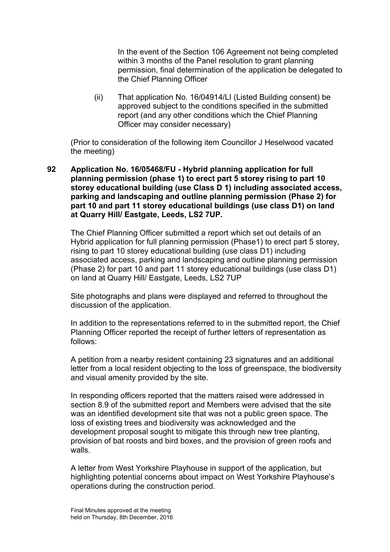In the event of the Section 106 Agreement not being completed within 3 months of the Panel resolution to grant planning permission, final determination of the application be delegated to the Chief Planning Officer

(ii) That application No. 16/04914/LI (Listed Building consent) be approved subject to the conditions specified in the submitted report (and any other conditions which the Chief Planning Officer may consider necessary)

(Prior to consideration of the following item Councillor J Heselwood vacated the meeting)

**92 Application No. 16/05468/FU - Hybrid planning application for full planning permission (phase 1) to erect part 5 storey rising to part 10 storey educational building (use Class D 1) including associated access, parking and landscaping and outline planning permission (Phase 2) for part 10 and part 11 storey educational buildings (use class D1) on land at Quarry Hill/ Eastgate, Leeds, LS2 7UP.**

The Chief Planning Officer submitted a report which set out details of an Hybrid application for full planning permission (Phase1) to erect part 5 storey, rising to part 10 storey educational building (use class D1) including associated access, parking and landscaping and outline planning permission (Phase 2) for part 10 and part 11 storey educational buildings (use class D1) on land at Quarry Hill/ Eastgate, Leeds, LS2 7UP

Site photographs and plans were displayed and referred to throughout the discussion of the application.

In addition to the representations referred to in the submitted report, the Chief Planning Officer reported the receipt of further letters of representation as follows:

A petition from a nearby resident containing 23 signatures and an additional letter from a local resident objecting to the loss of greenspace, the biodiversity and visual amenity provided by the site.

In responding officers reported that the matters raised were addressed in section 8.9 of the submitted report and Members were advised that the site was an identified development site that was not a public green space. The loss of existing trees and biodiversity was acknowledged and the development proposal sought to mitigate this through new tree planting, provision of bat roosts and bird boxes, and the provision of green roofs and walls.

A letter from West Yorkshire Playhouse in support of the application, but highlighting potential concerns about impact on West Yorkshire Playhouse's operations during the construction period.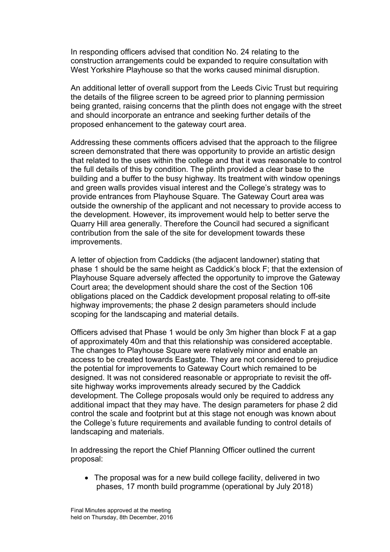In responding officers advised that condition No. 24 relating to the construction arrangements could be expanded to require consultation with West Yorkshire Playhouse so that the works caused minimal disruption.

An additional letter of overall support from the Leeds Civic Trust but requiring the details of the filigree screen to be agreed prior to planning permission being granted, raising concerns that the plinth does not engage with the street and should incorporate an entrance and seeking further details of the proposed enhancement to the gateway court area.

Addressing these comments officers advised that the approach to the filigree screen demonstrated that there was opportunity to provide an artistic design that related to the uses within the college and that it was reasonable to control the full details of this by condition. The plinth provided a clear base to the building and a buffer to the busy highway. Its treatment with window openings and green walls provides visual interest and the College's strategy was to provide entrances from Playhouse Square. The Gateway Court area was outside the ownership of the applicant and not necessary to provide access to the development. However, its improvement would help to better serve the Quarry Hill area generally. Therefore the Council had secured a significant contribution from the sale of the site for development towards these improvements.

A letter of objection from Caddicks (the adjacent landowner) stating that phase 1 should be the same height as Caddick's block F; that the extension of Playhouse Square adversely affected the opportunity to improve the Gateway Court area; the development should share the cost of the Section 106 obligations placed on the Caddick development proposal relating to off-site highway improvements; the phase 2 design parameters should include scoping for the landscaping and material details.

Officers advised that Phase 1 would be only 3m higher than block F at a gap of approximately 40m and that this relationship was considered acceptable. The changes to Playhouse Square were relatively minor and enable an access to be created towards Eastgate. They are not considered to prejudice the potential for improvements to Gateway Court which remained to be designed. It was not considered reasonable or appropriate to revisit the offsite highway works improvements already secured by the Caddick development. The College proposals would only be required to address any additional impact that they may have. The design parameters for phase 2 did control the scale and footprint but at this stage not enough was known about the College's future requirements and available funding to control details of landscaping and materials.

In addressing the report the Chief Planning Officer outlined the current proposal:

 The proposal was for a new build college facility, delivered in two phases, 17 month build programme (operational by July 2018)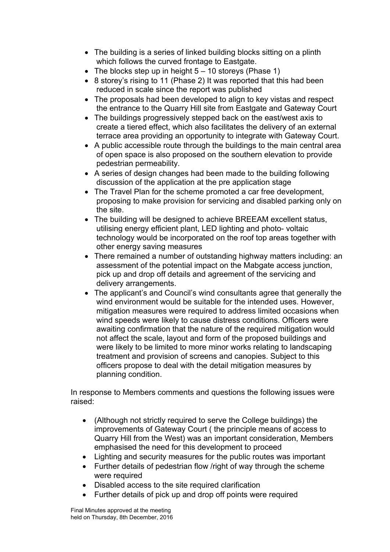- The building is a series of linked building blocks sitting on a plinth which follows the curved frontage to Eastgate.
- The blocks step up in height  $5 10$  storeys (Phase 1)
- 8 storey's rising to 11 (Phase 2) It was reported that this had been reduced in scale since the report was published
- The proposals had been developed to align to key vistas and respect the entrance to the Quarry Hill site from Eastgate and Gateway Court
- The buildings progressively stepped back on the east/west axis to create a tiered effect, which also facilitates the delivery of an external terrace area providing an opportunity to integrate with Gateway Court.
- A public accessible route through the buildings to the main central area of open space is also proposed on the southern elevation to provide pedestrian permeability.
- A series of design changes had been made to the building following discussion of the application at the pre application stage
- The Travel Plan for the scheme promoted a car free development, proposing to make provision for servicing and disabled parking only on the site.
- The building will be designed to achieve BREEAM excellent status, utilising energy efficient plant, LED lighting and photo- voltaic technology would be incorporated on the roof top areas together with other energy saving measures
- There remained a number of outstanding highway matters including: an assessment of the potential impact on the Mabgate access junction, pick up and drop off details and agreement of the servicing and delivery arrangements.
- The applicant's and Council's wind consultants agree that generally the wind environment would be suitable for the intended uses. However, mitigation measures were required to address limited occasions when wind speeds were likely to cause distress conditions. Officers were awaiting confirmation that the nature of the required mitigation would not affect the scale, layout and form of the proposed buildings and were likely to be limited to more minor works relating to landscaping treatment and provision of screens and canopies. Subject to this officers propose to deal with the detail mitigation measures by planning condition.

In response to Members comments and questions the following issues were raised:

- (Although not strictly required to serve the College buildings) the improvements of Gateway Court ( the principle means of access to Quarry Hill from the West) was an important consideration, Members emphasised the need for this development to proceed
- Lighting and security measures for the public routes was important
- Further details of pedestrian flow /right of way through the scheme were required
- Disabled access to the site required clarification
- Further details of pick up and drop off points were required